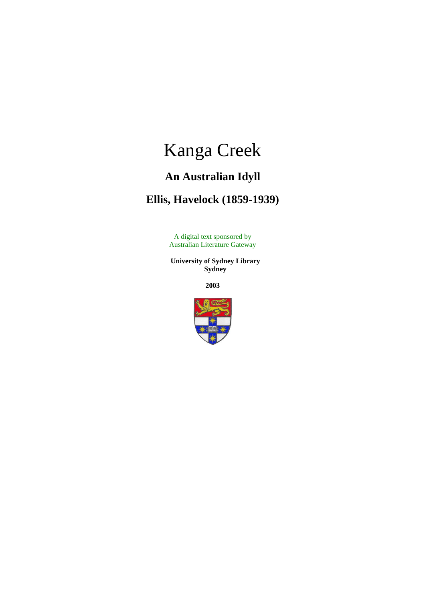# Kanga Creek

# **An Australian Idyll**

## **Ellis, Havelock (1859-1939)**

A digital text sponsored by Australian Literature Gateway

 **University of Sydney Library Sydney**

**2003**

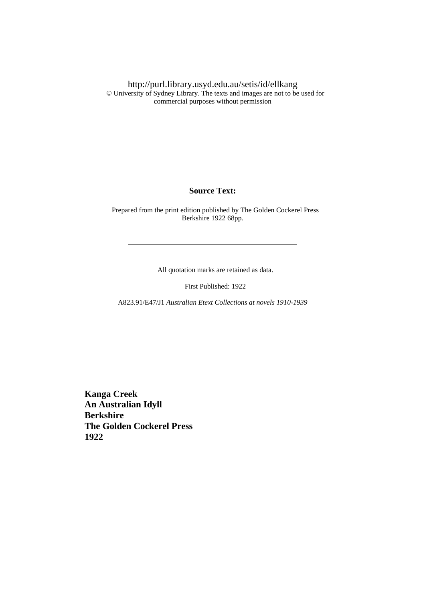http://purl.library.usyd.edu.au/setis/id/ellkang © University of Sydney Library. The texts and images are not to be used for commercial purposes without permission

#### **Source Text:**

 Prepared from the print edition published by The Golden Cockerel Press Berkshire 1922 68pp.

All quotation marks are retained as data.

First Published: 1922

A823.91/E47/J1 *Australian Etext Collections at novels 1910-1939*

 **Kanga Creek An Australian Idyll Berkshire The Golden Cockerel Press 1922**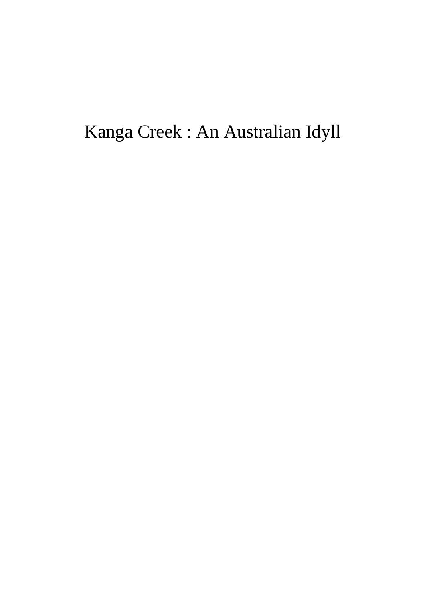Kanga Creek : An Australian Idyll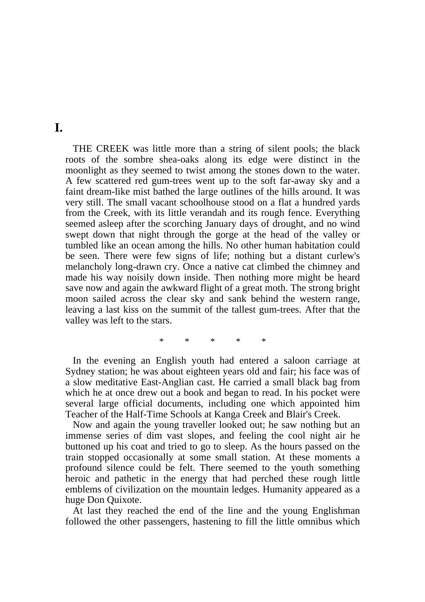#### **I.**

 THE CREEK was little more than a string of silent pools; the black roots of the sombre shea-oaks along its edge were distinct in the moonlight as they seemed to twist among the stones down to the water. A few scattered red gum-trees went up to the soft far-away sky and a faint dream-like mist bathed the large outlines of the hills around. It was very still. The small vacant schoolhouse stood on a flat a hundred yards from the Creek, with its little verandah and its rough fence. Everything seemed asleep after the scorching January days of drought, and no wind swept down that night through the gorge at the head of the valley or tumbled like an ocean among the hills. No other human habitation could be seen. There were few signs of life; nothing but a distant curlew's melancholy long-drawn cry. Once a native cat climbed the chimney and made his way noisily down inside. Then nothing more might be heard save now and again the awkward flight of a great moth. The strong bright moon sailed across the clear sky and sank behind the western range, leaving a last kiss on the summit of the tallest gum-trees. After that the valley was left to the stars.

\* \* \* \* \*

 In the evening an English youth had entered a saloon carriage at Sydney station; he was about eighteen years old and fair; his face was of a slow meditative East-Anglian cast. He carried a small black bag from which he at once drew out a book and began to read. In his pocket were several large official documents, including one which appointed him Teacher of the Half-Time Schools at Kanga Creek and Blair's Creek.

 Now and again the young traveller looked out; he saw nothing but an immense series of dim vast slopes, and feeling the cool night air he buttoned up his coat and tried to go to sleep. As the hours passed on the train stopped occasionally at some small station. At these moments a profound silence could be felt. There seemed to the youth something heroic and pathetic in the energy that had perched these rough little emblems of civilization on the mountain ledges. Humanity appeared as a huge Don Quixote.

 At last they reached the end of the line and the young Englishman followed the other passengers, hastening to fill the little omnibus which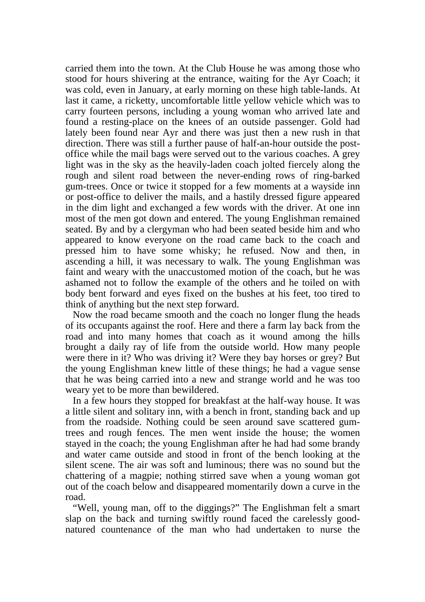carried them into the town. At the Club House he was among those who stood for hours shivering at the entrance, waiting for the Ayr Coach; it was cold, even in January, at early morning on these high table-lands. At last it came, a ricketty, uncomfortable little yellow vehicle which was to carry fourteen persons, including a young woman who arrived late and found a resting-place on the knees of an outside passenger. Gold had lately been found near Ayr and there was just then a new rush in that direction. There was still a further pause of half-an-hour outside the postoffice while the mail bags were served out to the various coaches. A grey light was in the sky as the heavily-laden coach jolted fiercely along the rough and silent road between the never-ending rows of ring-barked gum-trees. Once or twice it stopped for a few moments at a wayside inn or post-office to deliver the mails, and a hastily dressed figure appeared in the dim light and exchanged a few words with the driver. At one inn most of the men got down and entered. The young Englishman remained seated. By and by a clergyman who had been seated beside him and who appeared to know everyone on the road came back to the coach and pressed him to have some whisky; he refused. Now and then, in ascending a hill, it was necessary to walk. The young Englishman was faint and weary with the unaccustomed motion of the coach, but he was ashamed not to follow the example of the others and he toiled on with body bent forward and eyes fixed on the bushes at his feet, too tired to think of anything but the next step forward.

 Now the road became smooth and the coach no longer flung the heads of its occupants against the roof. Here and there a farm lay back from the road and into many homes that coach as it wound among the hills brought a daily ray of life from the outside world. How many people were there in it? Who was driving it? Were they bay horses or grey? But the young Englishman knew little of these things; he had a vague sense that he was being carried into a new and strange world and he was too weary yet to be more than bewildered.

 In a few hours they stopped for breakfast at the half-way house. It was a little silent and solitary inn, with a bench in front, standing back and up from the roadside. Nothing could be seen around save scattered gumtrees and rough fences. The men went inside the house; the women stayed in the coach; the young Englishman after he had had some brandy and water came outside and stood in front of the bench looking at the silent scene. The air was soft and luminous; there was no sound but the chattering of a magpie; nothing stirred save when a young woman got out of the coach below and disappeared momentarily down a curve in the road.

 "Well, young man, off to the diggings?" The Englishman felt a smart slap on the back and turning swiftly round faced the carelessly goodnatured countenance of the man who had undertaken to nurse the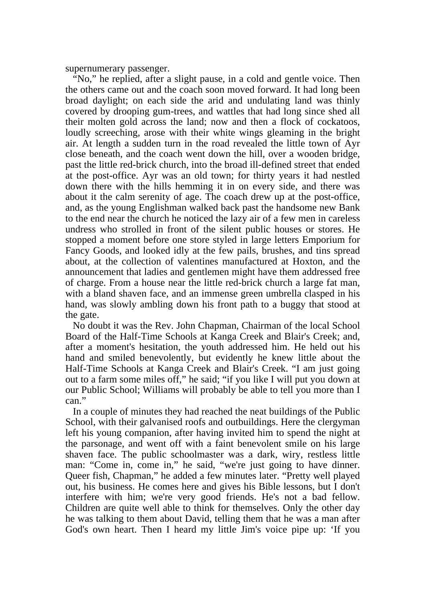supernumerary passenger.

 "No," he replied, after a slight pause, in a cold and gentle voice. Then the others came out and the coach soon moved forward. It had long been broad daylight; on each side the arid and undulating land was thinly covered by drooping gum-trees, and wattles that had long since shed all their molten gold across the land; now and then a flock of cockatoos, loudly screeching, arose with their white wings gleaming in the bright air. At length a sudden turn in the road revealed the little town of Ayr close beneath, and the coach went down the hill, over a wooden bridge, past the little red-brick church, into the broad ill-defined street that ended at the post-office. Ayr was an old town; for thirty years it had nestled down there with the hills hemming it in on every side, and there was about it the calm serenity of age. The coach drew up at the post-office, and, as the young Englishman walked back past the handsome new Bank to the end near the church he noticed the lazy air of a few men in careless undress who strolled in front of the silent public houses or stores. He stopped a moment before one store styled in large letters Emporium for Fancy Goods, and looked idly at the few pails, brushes, and tins spread about, at the collection of valentines manufactured at Hoxton, and the announcement that ladies and gentlemen might have them addressed free of charge. From a house near the little red-brick church a large fat man, with a bland shaven face, and an immense green umbrella clasped in his hand, was slowly ambling down his front path to a buggy that stood at the gate.

 No doubt it was the Rev. John Chapman, Chairman of the local School Board of the Half-Time Schools at Kanga Creek and Blair's Creek; and, after a moment's hesitation, the youth addressed him. He held out his hand and smiled benevolently, but evidently he knew little about the Half-Time Schools at Kanga Creek and Blair's Creek. "I am just going out to a farm some miles off," he said; "if you like I will put you down at our Public School; Williams will probably be able to tell you more than I can."

 In a couple of minutes they had reached the neat buildings of the Public School, with their galvanised roofs and outbuildings. Here the clergyman left his young companion, after having invited him to spend the night at the parsonage, and went off with a faint benevolent smile on his large shaven face. The public schoolmaster was a dark, wiry, restless little man: "Come in, come in," he said, "we're just going to have dinner. Queer fish, Chapman," he added a few minutes later. "Pretty well played out, his business. He comes here and gives his Bible lessons, but I don't interfere with him; we're very good friends. He's not a bad fellow. Children are quite well able to think for themselves. Only the other day he was talking to them about David, telling them that he was a man after God's own heart. Then I heard my little Jim's voice pipe up: 'If you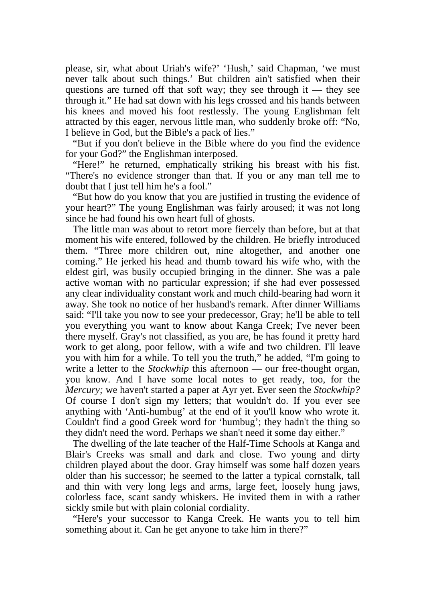please, sir, what about Uriah's wife?' 'Hush,' said Chapman, 'we must never talk about such things.' But children ain't satisfied when their questions are turned off that soft way; they see through it — they see through it." He had sat down with his legs crossed and his hands between his knees and moved his foot restlessly. The young Englishman felt attracted by this eager, nervous little man, who suddenly broke off: "No, I believe in God, but the Bible's a pack of lies."

 "But if you don't believe in the Bible where do you find the evidence for your God?" the Englishman interposed.

 "Here!" he returned, emphatically striking his breast with his fist. "There's no evidence stronger than that. If you or any man tell me to doubt that I just tell him he's a fool."

 "But how do you know that you are justified in trusting the evidence of your heart?" The young Englishman was fairly aroused; it was not long since he had found his own heart full of ghosts.

 The little man was about to retort more fiercely than before, but at that moment his wife entered, followed by the children. He briefly introduced them. "Three more children out, nine altogether, and another one coming." He jerked his head and thumb toward his wife who, with the eldest girl, was busily occupied bringing in the dinner. She was a pale active woman with no particular expression; if she had ever possessed any clear individuality constant work and much child-bearing had worn it away. She took no notice of her husband's remark. After dinner Williams said: "I'll take you now to see your predecessor, Gray; he'll be able to tell you everything you want to know about Kanga Creek; I've never been there myself. Gray's not classified, as you are, he has found it pretty hard work to get along, poor fellow, with a wife and two children. I'll leave you with him for a while. To tell you the truth," he added, "I'm going to write a letter to the *Stockwhip* this afternoon — our free-thought organ, you know. And I have some local notes to get ready, too, for the *Mercury;* we haven't started a paper at Ayr yet. Ever seen the *Stockwhip?* Of course I don't sign my letters; that wouldn't do. If you ever see anything with 'Anti-humbug' at the end of it you'll know who wrote it. Couldn't find a good Greek word for 'humbug'; they hadn't the thing so they didn't need the word. Perhaps we shan't need it some day either."

 The dwelling of the late teacher of the Half-Time Schools at Kanga and Blair's Creeks was small and dark and close. Two young and dirty children played about the door. Gray himself was some half dozen years older than his successor; he seemed to the latter a typical cornstalk, tall and thin with very long legs and arms, large feet, loosely hung jaws, colorless face, scant sandy whiskers. He invited them in with a rather sickly smile but with plain colonial cordiality.

 "Here's your successor to Kanga Creek. He wants you to tell him something about it. Can he get anyone to take him in there?"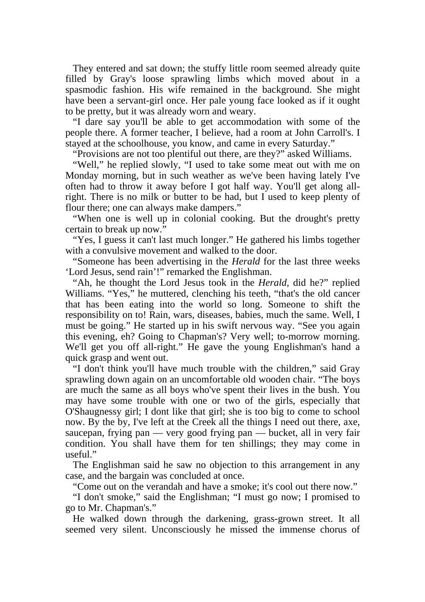They entered and sat down; the stuffy little room seemed already quite filled by Gray's loose sprawling limbs which moved about in a spasmodic fashion. His wife remained in the background. She might have been a servant-girl once. Her pale young face looked as if it ought to be pretty, but it was already worn and weary.

 "I dare say you'll be able to get accommodation with some of the people there. A former teacher, I believe, had a room at John Carroll's. I stayed at the schoolhouse, you know, and came in every Saturday."

"Provisions are not too plentiful out there, are they?" asked Williams.

 "Well," he replied slowly, "I used to take some meat out with me on Monday morning, but in such weather as we've been having lately I've often had to throw it away before I got half way. You'll get along allright. There is no milk or butter to be had, but I used to keep plenty of flour there; one can always make dampers."

 "When one is well up in colonial cooking. But the drought's pretty certain to break up now."

 "Yes, I guess it can't last much longer." He gathered his limbs together with a convulsive movement and walked to the door.

 "Someone has been advertising in the *Herald* for the last three weeks 'Lord Jesus, send rain'!" remarked the Englishman.

 "Ah, he thought the Lord Jesus took in the *Herald,* did he?" replied Williams. "Yes," he muttered, clenching his teeth, "that's the old cancer that has been eating into the world so long. Someone to shift the responsibility on to! Rain, wars, diseases, babies, much the same. Well, I must be going." He started up in his swift nervous way. "See you again this evening, eh? Going to Chapman's? Very well; to-morrow morning. We'll get you off all-right." He gave the young Englishman's hand a quick grasp and went out.

 "I don't think you'll have much trouble with the children," said Gray sprawling down again on an uncomfortable old wooden chair. "The boys are much the same as all boys who've spent their lives in the bush. You may have some trouble with one or two of the girls, especially that O'Shaugnessy girl; I dont like that girl; she is too big to come to school now. By the by, I've left at the Creek all the things I need out there, axe, saucepan, frying pan — very good frying pan — bucket, all in very fair condition. You shall have them for ten shillings; they may come in useful."

 The Englishman said he saw no objection to this arrangement in any case, and the bargain was concluded at once.

"Come out on the verandah and have a smoke; it's cool out there now."

 "I don't smoke," said the Englishman; "I must go now; I promised to go to Mr. Chapman's."

 He walked down through the darkening, grass-grown street. It all seemed very silent. Unconsciously he missed the immense chorus of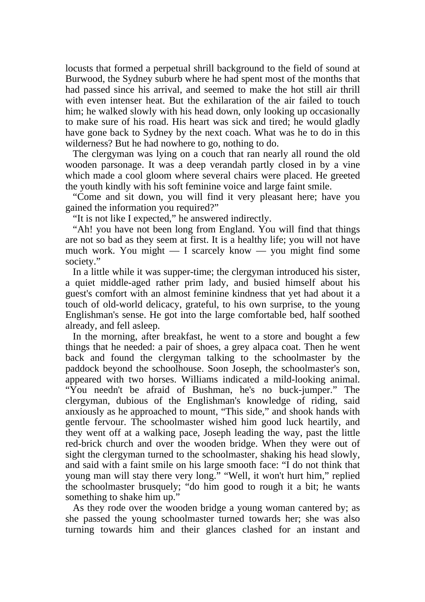locusts that formed a perpetual shrill background to the field of sound at Burwood, the Sydney suburb where he had spent most of the months that had passed since his arrival, and seemed to make the hot still air thrill with even intenser heat. But the exhilaration of the air failed to touch him; he walked slowly with his head down, only looking up occasionally to make sure of his road. His heart was sick and tired; he would gladly have gone back to Sydney by the next coach. What was he to do in this wilderness? But he had nowhere to go, nothing to do.

 The clergyman was lying on a couch that ran nearly all round the old wooden parsonage. It was a deep verandah partly closed in by a vine which made a cool gloom where several chairs were placed. He greeted the youth kindly with his soft feminine voice and large faint smile.

 "Come and sit down, you will find it very pleasant here; have you gained the information you required?"

"It is not like I expected," he answered indirectly.

 "Ah! you have not been long from England. You will find that things are not so bad as they seem at first. It is a healthy life; you will not have much work. You might — I scarcely know — you might find some society."

 In a little while it was supper-time; the clergyman introduced his sister, a quiet middle-aged rather prim lady, and busied himself about his guest's comfort with an almost feminine kindness that yet had about it a touch of old-world delicacy, grateful, to his own surprise, to the young Englishman's sense. He got into the large comfortable bed, half soothed already, and fell asleep.

 In the morning, after breakfast, he went to a store and bought a few things that he needed: a pair of shoes, a grey alpaca coat. Then he went back and found the clergyman talking to the schoolmaster by the paddock beyond the schoolhouse. Soon Joseph, the schoolmaster's son, appeared with two horses. Williams indicated a mild-looking animal. "You needn't be afraid of Bushman, he's no buck-jumper." The clergyman, dubious of the Englishman's knowledge of riding, said anxiously as he approached to mount, "This side," and shook hands with gentle fervour. The schoolmaster wished him good luck heartily, and they went off at a walking pace, Joseph leading the way, past the little red-brick church and over the wooden bridge. When they were out of sight the clergyman turned to the schoolmaster, shaking his head slowly, and said with a faint smile on his large smooth face: "I do not think that young man will stay there very long." "Well, it won't hurt him," replied the schoolmaster brusquely; "do him good to rough it a bit; he wants something to shake him up."

 As they rode over the wooden bridge a young woman cantered by; as she passed the young schoolmaster turned towards her; she was also turning towards him and their glances clashed for an instant and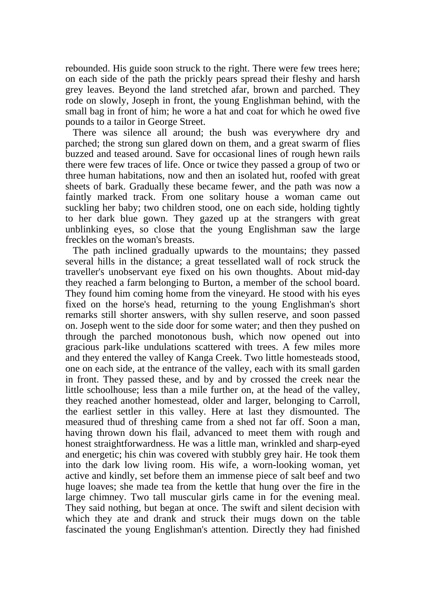rebounded. His guide soon struck to the right. There were few trees here; on each side of the path the prickly pears spread their fleshy and harsh grey leaves. Beyond the land stretched afar, brown and parched. They rode on slowly, Joseph in front, the young Englishman behind, with the small bag in front of him; he wore a hat and coat for which he owed five pounds to a tailor in George Street.

 There was silence all around; the bush was everywhere dry and parched; the strong sun glared down on them, and a great swarm of flies buzzed and teased around. Save for occasional lines of rough hewn rails there were few traces of life. Once or twice they passed a group of two or three human habitations, now and then an isolated hut, roofed with great sheets of bark. Gradually these became fewer, and the path was now a faintly marked track. From one solitary house a woman came out suckling her baby; two children stood, one on each side, holding tightly to her dark blue gown. They gazed up at the strangers with great unblinking eyes, so close that the young Englishman saw the large freckles on the woman's breasts.

 The path inclined gradually upwards to the mountains; they passed several hills in the distance; a great tessellated wall of rock struck the traveller's unobservant eye fixed on his own thoughts. About mid-day they reached a farm belonging to Burton, a member of the school board. They found him coming home from the vineyard. He stood with his eyes fixed on the horse's head, returning to the young Englishman's short remarks still shorter answers, with shy sullen reserve, and soon passed on. Joseph went to the side door for some water; and then they pushed on through the parched monotonous bush, which now opened out into gracious park-like undulations scattered with trees. A few miles more and they entered the valley of Kanga Creek. Two little homesteads stood, one on each side, at the entrance of the valley, each with its small garden in front. They passed these, and by and by crossed the creek near the little schoolhouse; less than a mile further on, at the head of the valley, they reached another homestead, older and larger, belonging to Carroll, the earliest settler in this valley. Here at last they dismounted. The measured thud of threshing came from a shed not far off. Soon a man, having thrown down his flail, advanced to meet them with rough and honest straightforwardness. He was a little man, wrinkled and sharp-eyed and energetic; his chin was covered with stubbly grey hair. He took them into the dark low living room. His wife, a worn-looking woman, yet active and kindly, set before them an immense piece of salt beef and two huge loaves; she made tea from the kettle that hung over the fire in the large chimney. Two tall muscular girls came in for the evening meal. They said nothing, but began at once. The swift and silent decision with which they ate and drank and struck their mugs down on the table fascinated the young Englishman's attention. Directly they had finished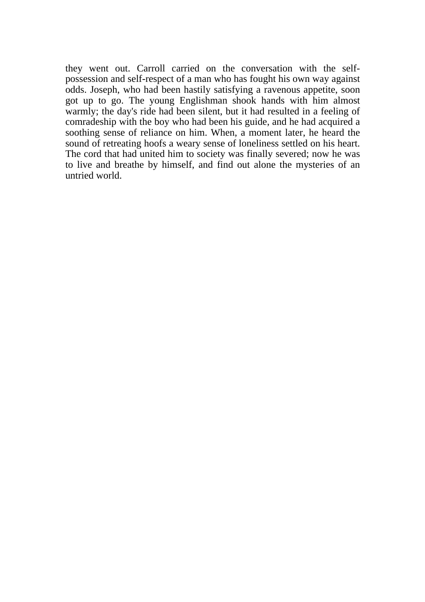they went out. Carroll carried on the conversation with the selfpossession and self-respect of a man who has fought his own way against odds. Joseph, who had been hastily satisfying a ravenous appetite, soon got up to go. The young Englishman shook hands with him almost warmly; the day's ride had been silent, but it had resulted in a feeling of comradeship with the boy who had been his guide, and he had acquired a soothing sense of reliance on him. When, a moment later, he heard the sound of retreating hoofs a weary sense of loneliness settled on his heart. The cord that had united him to society was finally severed; now he was to live and breathe by himself, and find out alone the mysteries of an untried world.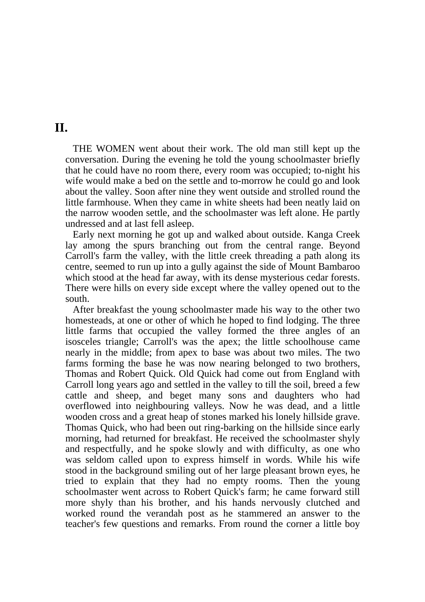### **II.**

 THE WOMEN went about their work. The old man still kept up the conversation. During the evening he told the young schoolmaster briefly that he could have no room there, every room was occupied; to-night his wife would make a bed on the settle and to-morrow he could go and look about the valley. Soon after nine they went outside and strolled round the little farmhouse. When they came in white sheets had been neatly laid on the narrow wooden settle, and the schoolmaster was left alone. He partly undressed and at last fell asleep.

 Early next morning he got up and walked about outside. Kanga Creek lay among the spurs branching out from the central range. Beyond Carroll's farm the valley, with the little creek threading a path along its centre, seemed to run up into a gully against the side of Mount Bambaroo which stood at the head far away, with its dense mysterious cedar forests. There were hills on every side except where the valley opened out to the south.

 After breakfast the young schoolmaster made his way to the other two homesteads, at one or other of which he hoped to find lodging. The three little farms that occupied the valley formed the three angles of an isosceles triangle; Carroll's was the apex; the little schoolhouse came nearly in the middle; from apex to base was about two miles. The two farms forming the base he was now nearing belonged to two brothers, Thomas and Robert Quick. Old Quick had come out from England with Carroll long years ago and settled in the valley to till the soil, breed a few cattle and sheep, and beget many sons and daughters who had overflowed into neighbouring valleys. Now he was dead, and a little wooden cross and a great heap of stones marked his lonely hillside grave. Thomas Quick, who had been out ring-barking on the hillside since early morning, had returned for breakfast. He received the schoolmaster shyly and respectfully, and he spoke slowly and with difficulty, as one who was seldom called upon to express himself in words. While his wife stood in the background smiling out of her large pleasant brown eyes, he tried to explain that they had no empty rooms. Then the young schoolmaster went across to Robert Quick's farm; he came forward still more shyly than his brother, and his hands nervously clutched and worked round the verandah post as he stammered an answer to the teacher's few questions and remarks. From round the corner a little boy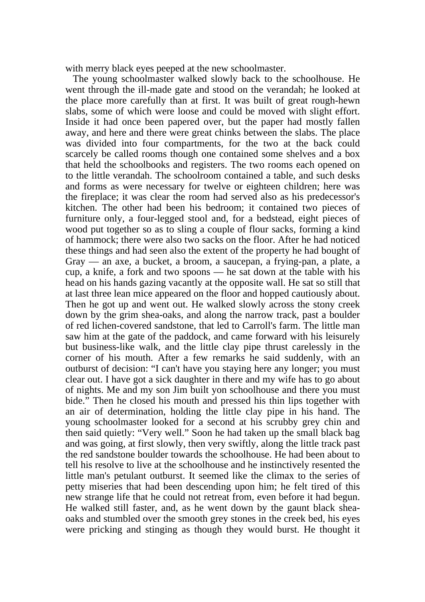with merry black eyes peeped at the new schoolmaster.

 The young schoolmaster walked slowly back to the schoolhouse. He went through the ill-made gate and stood on the verandah; he looked at the place more carefully than at first. It was built of great rough-hewn slabs, some of which were loose and could be moved with slight effort. Inside it had once been papered over, but the paper had mostly fallen away, and here and there were great chinks between the slabs. The place was divided into four compartments, for the two at the back could scarcely be called rooms though one contained some shelves and a box that held the schoolbooks and registers. The two rooms each opened on to the little verandah. The schoolroom contained a table, and such desks and forms as were necessary for twelve or eighteen children; here was the fireplace; it was clear the room had served also as his predecessor's kitchen. The other had been his bedroom; it contained two pieces of furniture only, a four-legged stool and, for a bedstead, eight pieces of wood put together so as to sling a couple of flour sacks, forming a kind of hammock; there were also two sacks on the floor. After he had noticed these things and had seen also the extent of the property he had bought of Gray — an axe, a bucket, a broom, a saucepan, a frying-pan, a plate, a cup, a knife, a fork and two spoons — he sat down at the table with his head on his hands gazing vacantly at the opposite wall. He sat so still that at last three lean mice appeared on the floor and hopped cautiously about. Then he got up and went out. He walked slowly across the stony creek down by the grim shea-oaks, and along the narrow track, past a boulder of red lichen-covered sandstone, that led to Carroll's farm. The little man saw him at the gate of the paddock, and came forward with his leisurely but business-like walk, and the little clay pipe thrust carelessly in the corner of his mouth. After a few remarks he said suddenly, with an outburst of decision: "I can't have you staying here any longer; you must clear out. I have got a sick daughter in there and my wife has to go about of nights. Me and my son Jim built yon schoolhouse and there you must bide." Then he closed his mouth and pressed his thin lips together with an air of determination, holding the little clay pipe in his hand. The young schoolmaster looked for a second at his scrubby grey chin and then said quietly: "Very well." Soon he had taken up the small black bag and was going, at first slowly, then very swiftly, along the little track past the red sandstone boulder towards the schoolhouse. He had been about to tell his resolve to live at the schoolhouse and he instinctively resented the little man's petulant outburst. It seemed like the climax to the series of petty miseries that had been descending upon him; he felt tired of this new strange life that he could not retreat from, even before it had begun. He walked still faster, and, as he went down by the gaunt black sheaoaks and stumbled over the smooth grey stones in the creek bed, his eyes were pricking and stinging as though they would burst. He thought it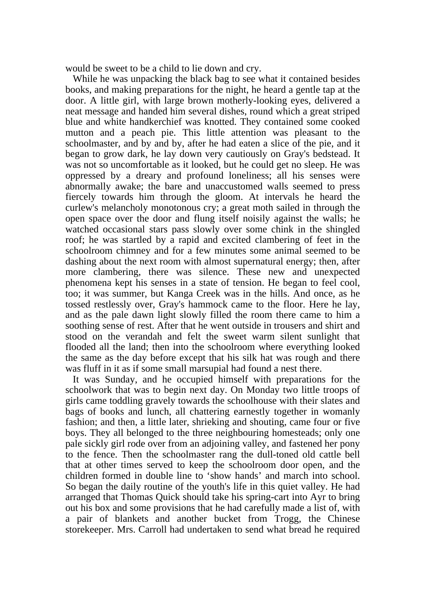would be sweet to be a child to lie down and cry.

 While he was unpacking the black bag to see what it contained besides books, and making preparations for the night, he heard a gentle tap at the door. A little girl, with large brown motherly-looking eyes, delivered a neat message and handed him several dishes, round which a great striped blue and white handkerchief was knotted. They contained some cooked mutton and a peach pie. This little attention was pleasant to the schoolmaster, and by and by, after he had eaten a slice of the pie, and it began to grow dark, he lay down very cautiously on Gray's bedstead. It was not so uncomfortable as it looked, but he could get no sleep. He was oppressed by a dreary and profound loneliness; all his senses were abnormally awake; the bare and unaccustomed walls seemed to press fiercely towards him through the gloom. At intervals he heard the curlew's melancholy monotonous cry; a great moth sailed in through the open space over the door and flung itself noisily against the walls; he watched occasional stars pass slowly over some chink in the shingled roof; he was startled by a rapid and excited clambering of feet in the schoolroom chimney and for a few minutes some animal seemed to be dashing about the next room with almost supernatural energy; then, after more clambering, there was silence. These new and unexpected phenomena kept his senses in a state of tension. He began to feel cool, too; it was summer, but Kanga Creek was in the hills. And once, as he tossed restlessly over, Gray's hammock came to the floor. Here he lay, and as the pale dawn light slowly filled the room there came to him a soothing sense of rest. After that he went outside in trousers and shirt and stood on the verandah and felt the sweet warm silent sunlight that flooded all the land; then into the schoolroom where everything looked the same as the day before except that his silk hat was rough and there was fluff in it as if some small marsupial had found a nest there.

 It was Sunday, and he occupied himself with preparations for the schoolwork that was to begin next day. On Monday two little troops of girls came toddling gravely towards the schoolhouse with their slates and bags of books and lunch, all chattering earnestly together in womanly fashion; and then, a little later, shrieking and shouting, came four or five boys. They all belonged to the three neighbouring homesteads; only one pale sickly girl rode over from an adjoining valley, and fastened her pony to the fence. Then the schoolmaster rang the dull-toned old cattle bell that at other times served to keep the schoolroom door open, and the children formed in double line to 'show hands' and march into school. So began the daily routine of the youth's life in this quiet valley. He had arranged that Thomas Quick should take his spring-cart into Ayr to bring out his box and some provisions that he had carefully made a list of, with a pair of blankets and another bucket from Trogg, the Chinese storekeeper. Mrs. Carroll had undertaken to send what bread he required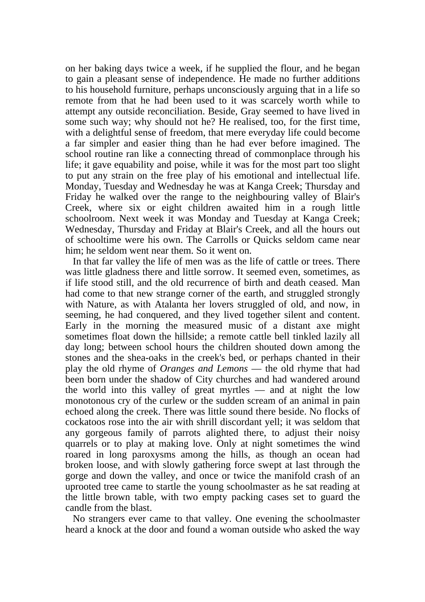on her baking days twice a week, if he supplied the flour, and he began to gain a pleasant sense of independence. He made no further additions to his household furniture, perhaps unconsciously arguing that in a life so remote from that he had been used to it was scarcely worth while to attempt any outside reconciliation. Beside, Gray seemed to have lived in some such way; why should not he? He realised, too, for the first time, with a delightful sense of freedom, that mere everyday life could become a far simpler and easier thing than he had ever before imagined. The school routine ran like a connecting thread of commonplace through his life; it gave equability and poise, while it was for the most part too slight to put any strain on the free play of his emotional and intellectual life. Monday, Tuesday and Wednesday he was at Kanga Creek; Thursday and Friday he walked over the range to the neighbouring valley of Blair's Creek, where six or eight children awaited him in a rough little schoolroom. Next week it was Monday and Tuesday at Kanga Creek; Wednesday, Thursday and Friday at Blair's Creek, and all the hours out of schooltime were his own. The Carrolls or Quicks seldom came near him; he seldom went near them. So it went on.

 In that far valley the life of men was as the life of cattle or trees. There was little gladness there and little sorrow. It seemed even, sometimes, as if life stood still, and the old recurrence of birth and death ceased. Man had come to that new strange corner of the earth, and struggled strongly with Nature, as with Atalanta her lovers struggled of old, and now, in seeming, he had conquered, and they lived together silent and content. Early in the morning the measured music of a distant axe might sometimes float down the hillside; a remote cattle bell tinkled lazily all day long; between school hours the children shouted down among the stones and the shea-oaks in the creek's bed, or perhaps chanted in their play the old rhyme of *Oranges and Lemons* — the old rhyme that had been born under the shadow of City churches and had wandered around the world into this valley of great myrtles — and at night the low monotonous cry of the curlew or the sudden scream of an animal in pain echoed along the creek. There was little sound there beside. No flocks of cockatoos rose into the air with shrill discordant yell; it was seldom that any gorgeous family of parrots alighted there, to adjust their noisy quarrels or to play at making love. Only at night sometimes the wind roared in long paroxysms among the hills, as though an ocean had broken loose, and with slowly gathering force swept at last through the gorge and down the valley, and once or twice the manifold crash of an uprooted tree came to startle the young schoolmaster as he sat reading at the little brown table, with two empty packing cases set to guard the candle from the blast.

 No strangers ever came to that valley. One evening the schoolmaster heard a knock at the door and found a woman outside who asked the way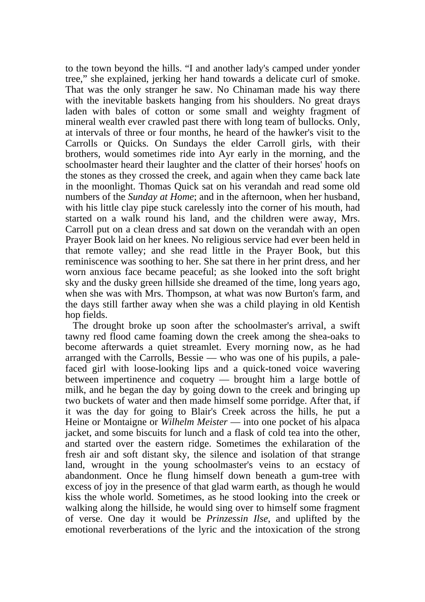to the town beyond the hills. "I and another lady's camped under yonder tree," she explained, jerking her hand towards a delicate curl of smoke. That was the only stranger he saw. No Chinaman made his way there with the inevitable baskets hanging from his shoulders. No great drays laden with bales of cotton or some small and weighty fragment of mineral wealth ever crawled past there with long team of bullocks. Only, at intervals of three or four months, he heard of the hawker's visit to the Carrolls or Quicks. On Sundays the elder Carroll girls, with their brothers, would sometimes ride into Ayr early in the morning, and the schoolmaster heard their laughter and the clatter of their horses' hoofs on the stones as they crossed the creek, and again when they came back late in the moonlight. Thomas Quick sat on his verandah and read some old numbers of the *Sunday at Home*; and in the afternoon, when her husband, with his little clay pipe stuck carelessly into the corner of his mouth, had started on a walk round his land, and the children were away, Mrs. Carroll put on a clean dress and sat down on the verandah with an open Prayer Book laid on her knees. No religious service had ever been held in that remote valley; and she read little in the Prayer Book, but this reminiscence was soothing to her. She sat there in her print dress, and her worn anxious face became peaceful; as she looked into the soft bright sky and the dusky green hillside she dreamed of the time, long years ago, when she was with Mrs. Thompson, at what was now Burton's farm, and the days still farther away when she was a child playing in old Kentish hop fields.

 The drought broke up soon after the schoolmaster's arrival, a swift tawny red flood came foaming down the creek among the shea-oaks to become afterwards a quiet streamlet. Every morning now, as he had arranged with the Carrolls, Bessie — who was one of his pupils, a palefaced girl with loose-looking lips and a quick-toned voice wavering between impertinence and coquetry — brought him a large bottle of milk, and he began the day by going down to the creek and bringing up two buckets of water and then made himself some porridge. After that, if it was the day for going to Blair's Creek across the hills, he put a Heine or Montaigne or *Wilhelm Meister* — into one pocket of his alpaca jacket, and some biscuits for lunch and a flask of cold tea into the other, and started over the eastern ridge. Sometimes the exhilaration of the fresh air and soft distant sky, the silence and isolation of that strange land, wrought in the young schoolmaster's veins to an ecstacy of abandonment. Once he flung himself down beneath a gum-tree with excess of joy in the presence of that glad warm earth, as though he would kiss the whole world. Sometimes, as he stood looking into the creek or walking along the hillside, he would sing over to himself some fragment of verse. One day it would be *Prinzessin Ilse*, and uplifted by the emotional reverberations of the lyric and the intoxication of the strong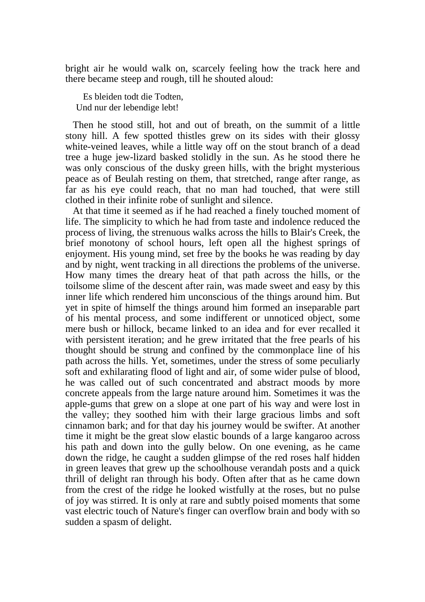bright air he would walk on, scarcely feeling how the track here and there became steep and rough, till he shouted aloud:

 Es bleiden todt die Todten, Und nur der lebendige lebt!

 Then he stood still, hot and out of breath, on the summit of a little stony hill. A few spotted thistles grew on its sides with their glossy white-veined leaves, while a little way off on the stout branch of a dead tree a huge jew-lizard basked stolidly in the sun. As he stood there he was only conscious of the dusky green hills, with the bright mysterious peace as of Beulah resting on them, that stretched, range after range, as far as his eye could reach, that no man had touched, that were still clothed in their infinite robe of sunlight and silence.

 At that time it seemed as if he had reached a finely touched moment of life. The simplicity to which he had from taste and indolence reduced the process of living, the strenuous walks across the hills to Blair's Creek, the brief monotony of school hours, left open all the highest springs of enjoyment. His young mind, set free by the books he was reading by day and by night, went tracking in all directions the problems of the universe. How many times the dreary heat of that path across the hills, or the toilsome slime of the descent after rain, was made sweet and easy by this inner life which rendered him unconscious of the things around him. But yet in spite of himself the things around him formed an inseparable part of his mental process, and some indifferent or unnoticed object, some mere bush or hillock, became linked to an idea and for ever recalled it with persistent iteration; and he grew irritated that the free pearls of his thought should be strung and confined by the commonplace line of his path across the hills. Yet, sometimes, under the stress of some peculiarly soft and exhilarating flood of light and air, of some wider pulse of blood, he was called out of such concentrated and abstract moods by more concrete appeals from the large nature around him. Sometimes it was the apple-gums that grew on a slope at one part of his way and were lost in the valley; they soothed him with their large gracious limbs and soft cinnamon bark; and for that day his journey would be swifter. At another time it might be the great slow elastic bounds of a large kangaroo across his path and down into the gully below. On one evening, as he came down the ridge, he caught a sudden glimpse of the red roses half hidden in green leaves that grew up the schoolhouse verandah posts and a quick thrill of delight ran through his body. Often after that as he came down from the crest of the ridge he looked wistfully at the roses, but no pulse of joy was stirred. It is only at rare and subtly poised moments that some vast electric touch of Nature's finger can overflow brain and body with so sudden a spasm of delight.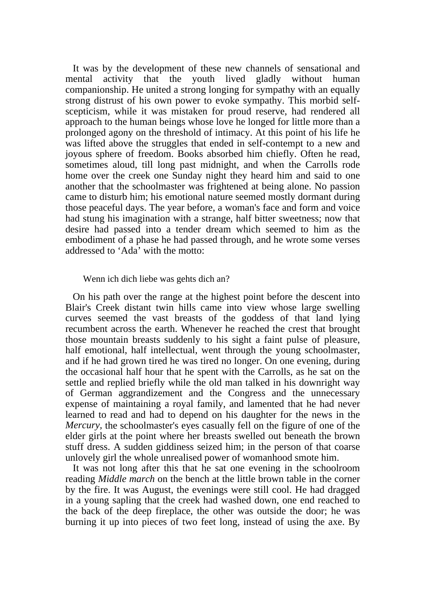It was by the development of these new channels of sensational and mental activity that the youth lived gladly without human companionship. He united a strong longing for sympathy with an equally strong distrust of his own power to evoke sympathy. This morbid selfscepticism, while it was mistaken for proud reserve, had rendered all approach to the human beings whose love he longed for little more than a prolonged agony on the threshold of intimacy. At this point of his life he was lifted above the struggles that ended in self-contempt to a new and joyous sphere of freedom. Books absorbed him chiefly. Often he read, sometimes aloud, till long past midnight, and when the Carrolls rode home over the creek one Sunday night they heard him and said to one another that the schoolmaster was frightened at being alone. No passion came to disturb him; his emotional nature seemed mostly dormant during those peaceful days. The year before, a woman's face and form and voice had stung his imagination with a strange, half bitter sweetness; now that desire had passed into a tender dream which seemed to him as the embodiment of a phase he had passed through, and he wrote some verses addressed to 'Ada' with the motto:

#### Wenn ich dich liebe was gehts dich an?

 On his path over the range at the highest point before the descent into Blair's Creek distant twin hills came into view whose large swelling curves seemed the vast breasts of the goddess of that land lying recumbent across the earth. Whenever he reached the crest that brought those mountain breasts suddenly to his sight a faint pulse of pleasure, half emotional, half intellectual, went through the young schoolmaster, and if he had grown tired he was tired no longer. On one evening, during the occasional half hour that he spent with the Carrolls, as he sat on the settle and replied briefly while the old man talked in his downright way of German aggrandizement and the Congress and the unnecessary expense of maintaining a royal family, and lamented that he had never learned to read and had to depend on his daughter for the news in the *Mercury,* the schoolmaster's eyes casually fell on the figure of one of the elder girls at the point where her breasts swelled out beneath the brown stuff dress. A sudden giddiness seized him; in the person of that coarse unlovely girl the whole unrealised power of womanhood smote him.

 It was not long after this that he sat one evening in the schoolroom reading *Middle march* on the bench at the little brown table in the corner by the fire. It was August, the evenings were still cool. He had dragged in a young sapling that the creek had washed down, one end reached to the back of the deep fireplace, the other was outside the door; he was burning it up into pieces of two feet long, instead of using the axe. By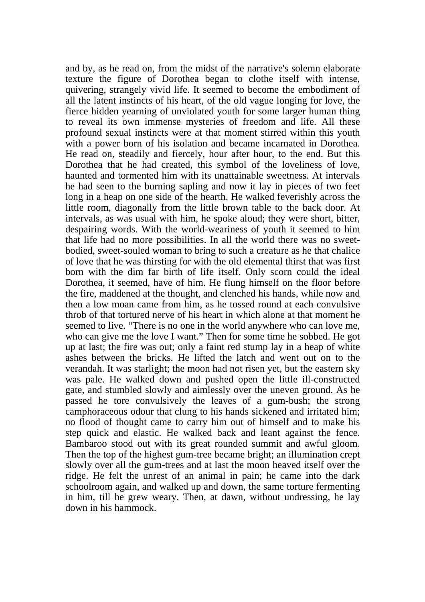and by, as he read on, from the midst of the narrative's solemn elaborate texture the figure of Dorothea began to clothe itself with intense, quivering, strangely vivid life. It seemed to become the embodiment of all the latent instincts of his heart, of the old vague longing for love, the fierce hidden yearning of unviolated youth for some larger human thing to reveal its own immense mysteries of freedom and life. All these profound sexual instincts were at that moment stirred within this youth with a power born of his isolation and became incarnated in Dorothea. He read on, steadily and fiercely, hour after hour, to the end. But this Dorothea that he had created, this symbol of the loveliness of love, haunted and tormented him with its unattainable sweetness. At intervals he had seen to the burning sapling and now it lay in pieces of two feet long in a heap on one side of the hearth. He walked feverishly across the little room, diagonally from the little brown table to the back door. At intervals, as was usual with him, he spoke aloud; they were short, bitter, despairing words. With the world-weariness of youth it seemed to him that life had no more possibilities. In all the world there was no sweetbodied, sweet-souled woman to bring to such a creature as he that chalice of love that he was thirsting for with the old elemental thirst that was first born with the dim far birth of life itself. Only scorn could the ideal Dorothea, it seemed, have of him. He flung himself on the floor before the fire, maddened at the thought, and clenched his hands, while now and then a low moan came from him, as he tossed round at each convulsive throb of that tortured nerve of his heart in which alone at that moment he seemed to live. "There is no one in the world anywhere who can love me, who can give me the love I want." Then for some time he sobbed. He got up at last; the fire was out; only a faint red stump lay in a heap of white ashes between the bricks. He lifted the latch and went out on to the verandah. It was starlight; the moon had not risen yet, but the eastern sky was pale. He walked down and pushed open the little ill-constructed gate, and stumbled slowly and aimlessly over the uneven ground. As he passed he tore convulsively the leaves of a gum-bush; the strong camphoraceous odour that clung to his hands sickened and irritated him; no flood of thought came to carry him out of himself and to make his step quick and elastic. He walked back and leant against the fence. Bambaroo stood out with its great rounded summit and awful gloom. Then the top of the highest gum-tree became bright; an illumination crept slowly over all the gum-trees and at last the moon heaved itself over the ridge. He felt the unrest of an animal in pain; he came into the dark schoolroom again, and walked up and down, the same torture fermenting in him, till he grew weary. Then, at dawn, without undressing, he lay down in his hammock.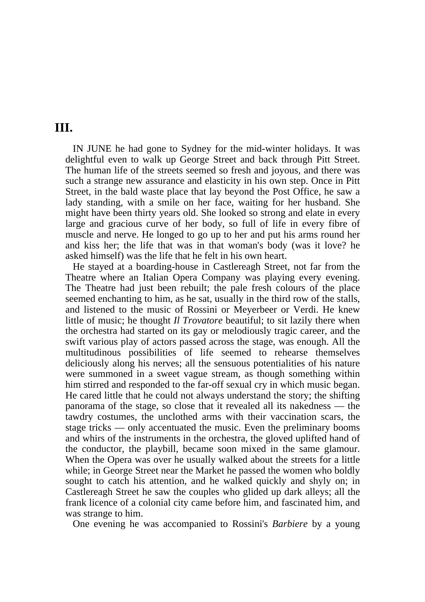#### **III.**

 IN JUNE he had gone to Sydney for the mid-winter holidays. It was delightful even to walk up George Street and back through Pitt Street. The human life of the streets seemed so fresh and joyous, and there was such a strange new assurance and elasticity in his own step. Once in Pitt Street, in the bald waste place that lay beyond the Post Office, he saw a lady standing, with a smile on her face, waiting for her husband. She might have been thirty years old. She looked so strong and elate in every large and gracious curve of her body, so full of life in every fibre of muscle and nerve. He longed to go up to her and put his arms round her and kiss her; the life that was in that woman's body (was it love? he asked himself) was the life that he felt in his own heart.

 He stayed at a boarding-house in Castlereagh Street, not far from the Theatre where an Italian Opera Company was playing every evening. The Theatre had just been rebuilt; the pale fresh colours of the place seemed enchanting to him, as he sat, usually in the third row of the stalls, and listened to the music of Rossini or Meyerbeer or Verdi. He knew little of music; he thought *Il Trovatore* beautiful; to sit lazily there when the orchestra had started on its gay or melodiously tragic career, and the swift various play of actors passed across the stage, was enough. All the multitudinous possibilities of life seemed to rehearse themselves deliciously along his nerves; all the sensuous potentialities of his nature were summoned in a sweet vague stream, as though something within him stirred and responded to the far-off sexual cry in which music began. He cared little that he could not always understand the story; the shifting panorama of the stage, so close that it revealed all its nakedness — the tawdry costumes, the unclothed arms with their vaccination scars, the stage tricks — only accentuated the music. Even the preliminary booms and whirs of the instruments in the orchestra, the gloved uplifted hand of the conductor, the playbill, became soon mixed in the same glamour. When the Opera was over he usually walked about the streets for a little while; in George Street near the Market he passed the women who boldly sought to catch his attention, and he walked quickly and shyly on; in Castlereagh Street he saw the couples who glided up dark alleys; all the frank licence of a colonial city came before him, and fascinated him, and was strange to him.

One evening he was accompanied to Rossini's *Barbiere* by a young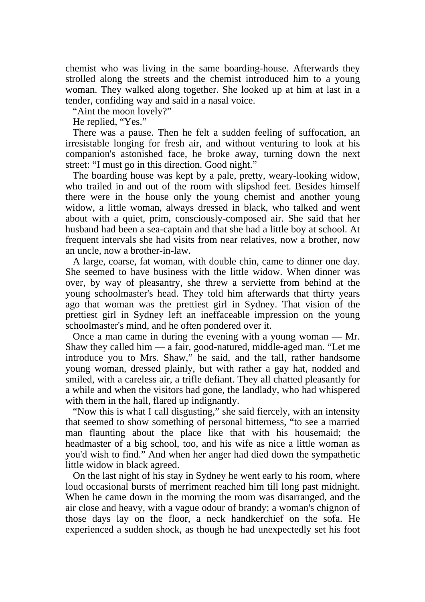chemist who was living in the same boarding-house. Afterwards they strolled along the streets and the chemist introduced him to a young woman. They walked along together. She looked up at him at last in a tender, confiding way and said in a nasal voice.

"Aint the moon lovely?"

He replied, "Yes."

 There was a pause. Then he felt a sudden feeling of suffocation, an irresistable longing for fresh air, and without venturing to look at his companion's astonished face, he broke away, turning down the next street: "I must go in this direction. Good night."

 The boarding house was kept by a pale, pretty, weary-looking widow, who trailed in and out of the room with slipshod feet. Besides himself there were in the house only the young chemist and another young widow, a little woman, always dressed in black, who talked and went about with a quiet, prim, consciously-composed air. She said that her husband had been a sea-captain and that she had a little boy at school. At frequent intervals she had visits from near relatives, now a brother, now an uncle, now a brother-in-law.

 A large, coarse, fat woman, with double chin, came to dinner one day. She seemed to have business with the little widow. When dinner was over, by way of pleasantry, she threw a serviette from behind at the young schoolmaster's head. They told him afterwards that thirty years ago that woman was the prettiest girl in Sydney. That vision of the prettiest girl in Sydney left an ineffaceable impression on the young schoolmaster's mind, and he often pondered over it.

 Once a man came in during the evening with a young woman — Mr. Shaw they called him — a fair, good-natured, middle-aged man. "Let me introduce you to Mrs. Shaw," he said, and the tall, rather handsome young woman, dressed plainly, but with rather a gay hat, nodded and smiled, with a careless air, a trifle defiant. They all chatted pleasantly for a while and when the visitors had gone, the landlady, who had whispered with them in the hall, flared up indignantly.

 "Now this is what I call disgusting," she said fiercely, with an intensity that seemed to show something of personal bitterness, "to see a married man flaunting about the place like that with his housemaid; the headmaster of a big school, too, and his wife as nice a little woman as you'd wish to find." And when her anger had died down the sympathetic little widow in black agreed.

 On the last night of his stay in Sydney he went early to his room, where loud occasional bursts of merriment reached him till long past midnight. When he came down in the morning the room was disarranged, and the air close and heavy, with a vague odour of brandy; a woman's chignon of those days lay on the floor, a neck handkerchief on the sofa. He experienced a sudden shock, as though he had unexpectedly set his foot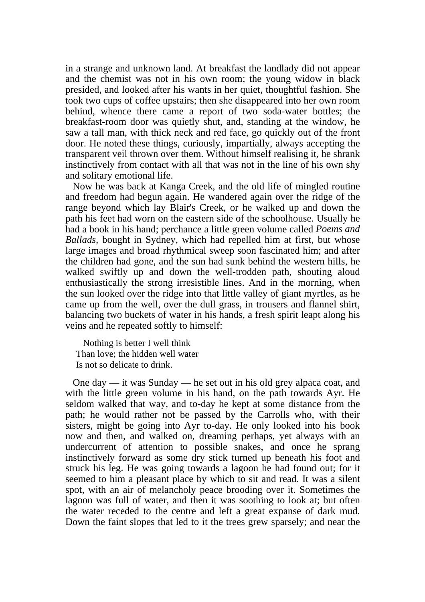in a strange and unknown land. At breakfast the landlady did not appear and the chemist was not in his own room; the young widow in black presided, and looked after his wants in her quiet, thoughtful fashion. She took two cups of coffee upstairs; then she disappeared into her own room behind, whence there came a report of two soda-water bottles; the breakfast-room door was quietly shut, and, standing at the window, he saw a tall man, with thick neck and red face, go quickly out of the front door. He noted these things, curiously, impartially, always accepting the transparent veil thrown over them. Without himself realising it, he shrank instinctively from contact with all that was not in the line of his own shy and solitary emotional life.

 Now he was back at Kanga Creek, and the old life of mingled routine and freedom had begun again. He wandered again over the ridge of the range beyond which lay Blair's Creek, or he walked up and down the path his feet had worn on the eastern side of the schoolhouse. Usually he had a book in his hand; perchance a little green volume called *Poems and Ballads,* bought in Sydney, which had repelled him at first, but whose large images and broad rhythmical sweep soon fascinated him; and after the children had gone, and the sun had sunk behind the western hills, he walked swiftly up and down the well-trodden path, shouting aloud enthusiastically the strong irresistible lines. And in the morning, when the sun looked over the ridge into that little valley of giant myrtles, as he came up from the well, over the dull grass, in trousers and flannel shirt, balancing two buckets of water in his hands, a fresh spirit leapt along his veins and he repeated softly to himself:

 Nothing is better I well think Than love; the hidden well water Is not so delicate to drink.

 One day — it was Sunday — he set out in his old grey alpaca coat, and with the little green volume in his hand, on the path towards Ayr. He seldom walked that way, and to-day he kept at some distance from the path; he would rather not be passed by the Carrolls who, with their sisters, might be going into Ayr to-day. He only looked into his book now and then, and walked on, dreaming perhaps, yet always with an undercurrent of attention to possible snakes, and once he sprang instinctively forward as some dry stick turned up beneath his foot and struck his leg. He was going towards a lagoon he had found out; for it seemed to him a pleasant place by which to sit and read. It was a silent spot, with an air of melancholy peace brooding over it. Sometimes the lagoon was full of water, and then it was soothing to look at; but often the water receded to the centre and left a great expanse of dark mud. Down the faint slopes that led to it the trees grew sparsely; and near the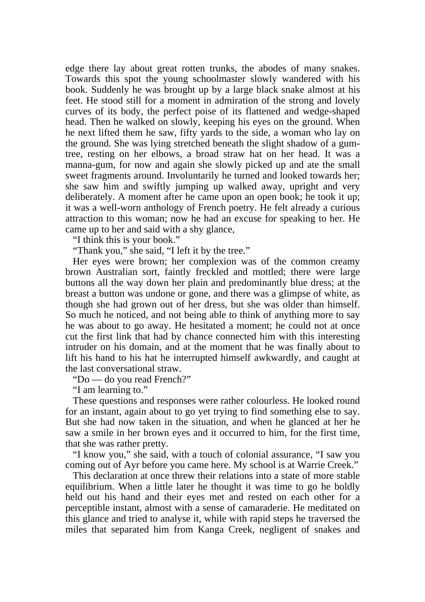edge there lay about great rotten trunks, the abodes of many snakes. Towards this spot the young schoolmaster slowly wandered with his book. Suddenly he was brought up by a large black snake almost at his feet. He stood still for a moment in admiration of the strong and lovely curves of its body, the perfect poise of its flattened and wedge-shaped head. Then he walked on slowly, keeping his eyes on the ground. When he next lifted them he saw, fifty yards to the side, a woman who lay on the ground. She was lying stretched beneath the slight shadow of a gumtree, resting on her elbows, a broad straw hat on her head. It was a manna-gum, for now and again she slowly picked up and ate the small sweet fragments around. Involuntarily he turned and looked towards her; she saw him and swiftly jumping up walked away, upright and very deliberately. A moment after he came upon an open book; he took it up; it was a well-worn anthology of French poetry. He felt already a curious attraction to this woman; now he had an excuse for speaking to her. He came up to her and said with a shy glance,

"I think this is your book."

"Thank you," she said, "I left it by the tree."

 Her eyes were brown; her complexion was of the common creamy brown Australian sort, faintly freckled and mottled; there were large buttons all the way down her plain and predominantly blue dress; at the breast a button was undone or gone, and there was a glimpse of white, as though she had grown out of her dress, but she was older than himself. So much he noticed, and not being able to think of anything more to say he was about to go away. He hesitated a moment; he could not at once cut the first link that had by chance connected him with this interesting intruder on his domain, and at the moment that he was finally about to lift his hand to his hat he interrupted himself awkwardly, and caught at the last conversational straw.

"Do — do you read French?"

"I am learning to."

 These questions and responses were rather colourless. He looked round for an instant, again about to go yet trying to find something else to say. But she had now taken in the situation, and when he glanced at her he saw a smile in her brown eyes and it occurred to him, for the first time, that she was rather pretty.

 "I know you," she said, with a touch of colonial assurance, "I saw you coming out of Ayr before you came here. My school is at Warrie Creek."

 This declaration at once threw their relations into a state of more stable equilibrium. When a little later he thought it was time to go he boldly held out his hand and their eyes met and rested on each other for a perceptible instant, almost with a sense of camaraderie. He meditated on this glance and tried to analyse it, while with rapid steps he traversed the miles that separated him from Kanga Creek, negligent of snakes and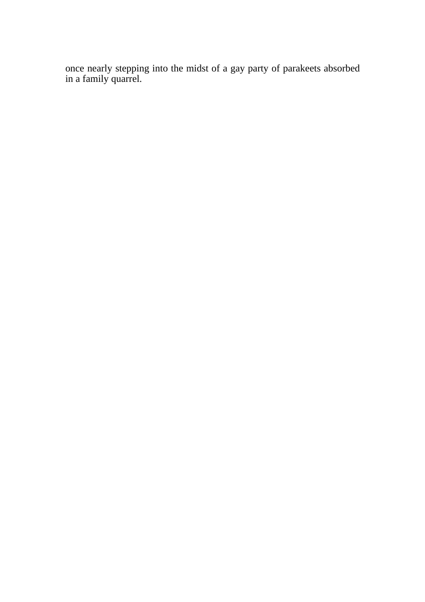once nearly stepping into the midst of a gay party of parakeets absorbed in a family quarrel.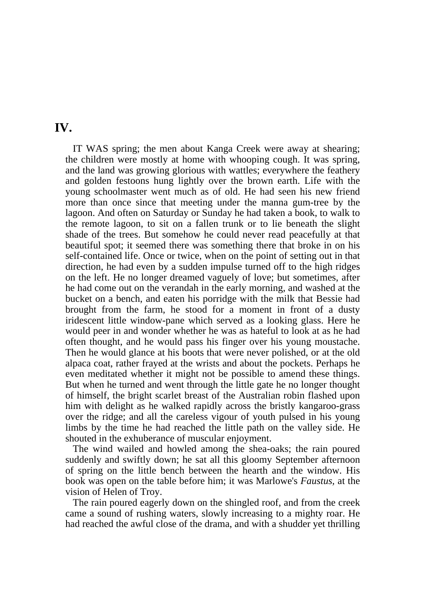#### **IV.**

 IT WAS spring; the men about Kanga Creek were away at shearing; the children were mostly at home with whooping cough. It was spring, and the land was growing glorious with wattles; everywhere the feathery and golden festoons hung lightly over the brown earth. Life with the young schoolmaster went much as of old. He had seen his new friend more than once since that meeting under the manna gum-tree by the lagoon. And often on Saturday or Sunday he had taken a book, to walk to the remote lagoon, to sit on a fallen trunk or to lie beneath the slight shade of the trees. But somehow he could never read peacefully at that beautiful spot; it seemed there was something there that broke in on his self-contained life. Once or twice, when on the point of setting out in that direction, he had even by a sudden impulse turned off to the high ridges on the left. He no longer dreamed vaguely of love; but sometimes, after he had come out on the verandah in the early morning, and washed at the bucket on a bench, and eaten his porridge with the milk that Bessie had brought from the farm, he stood for a moment in front of a dusty iridescent little window-pane which served as a looking glass. Here he would peer in and wonder whether he was as hateful to look at as he had often thought, and he would pass his finger over his young moustache. Then he would glance at his boots that were never polished, or at the old alpaca coat, rather frayed at the wrists and about the pockets. Perhaps he even meditated whether it might not be possible to amend these things. But when he turned and went through the little gate he no longer thought of himself, the bright scarlet breast of the Australian robin flashed upon him with delight as he walked rapidly across the bristly kangaroo-grass over the ridge; and all the careless vigour of youth pulsed in his young limbs by the time he had reached the little path on the valley side. He shouted in the exhuberance of muscular enjoyment.

 The wind wailed and howled among the shea-oaks; the rain poured suddenly and swiftly down; he sat all this gloomy September afternoon of spring on the little bench between the hearth and the window. His book was open on the table before him; it was Marlowe's *Faustus,* at the vision of Helen of Troy.

 The rain poured eagerly down on the shingled roof, and from the creek came a sound of rushing waters, slowly increasing to a mighty roar. He had reached the awful close of the drama, and with a shudder yet thrilling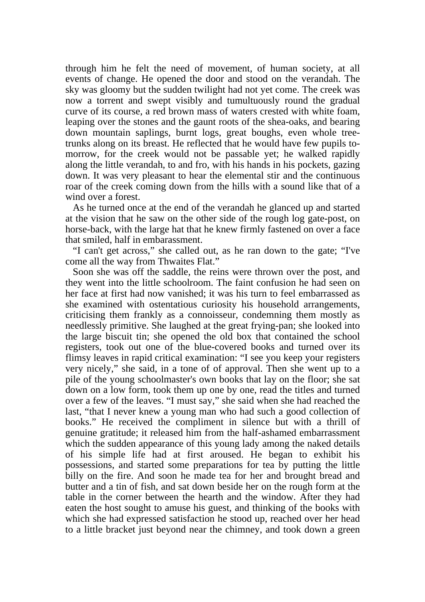through him he felt the need of movement, of human society, at all events of change. He opened the door and stood on the verandah. The sky was gloomy but the sudden twilight had not yet come. The creek was now a torrent and swept visibly and tumultuously round the gradual curve of its course, a red brown mass of waters crested with white foam, leaping over the stones and the gaunt roots of the shea-oaks, and bearing down mountain saplings, burnt logs, great boughs, even whole treetrunks along on its breast. He reflected that he would have few pupils tomorrow, for the creek would not be passable yet; he walked rapidly along the little verandah, to and fro, with his hands in his pockets, gazing down. It was very pleasant to hear the elemental stir and the continuous roar of the creek coming down from the hills with a sound like that of a wind over a forest.

 As he turned once at the end of the verandah he glanced up and started at the vision that he saw on the other side of the rough log gate-post, on horse-back, with the large hat that he knew firmly fastened on over a face that smiled, half in embarassment.

 "I can't get across," she called out, as he ran down to the gate; "I've come all the way from Thwaites Flat."

 Soon she was off the saddle, the reins were thrown over the post, and they went into the little schoolroom. The faint confusion he had seen on her face at first had now vanished; it was his turn to feel embarrassed as she examined with ostentatious curiosity his household arrangements, criticising them frankly as a connoisseur, condemning them mostly as needlessly primitive. She laughed at the great frying-pan; she looked into the large biscuit tin; she opened the old box that contained the school registers, took out one of the blue-covered books and turned over its flimsy leaves in rapid critical examination: "I see you keep your registers very nicely," she said, in a tone of of approval. Then she went up to a pile of the young schoolmaster's own books that lay on the floor; she sat down on a low form, took them up one by one, read the titles and turned over a few of the leaves. "I must say," she said when she had reached the last, "that I never knew a young man who had such a good collection of books." He received the compliment in silence but with a thrill of genuine gratitude; it released him from the half-ashamed embarrassment which the sudden appearance of this young lady among the naked details of his simple life had at first aroused. He began to exhibit his possessions, and started some preparations for tea by putting the little billy on the fire. And soon he made tea for her and brought bread and butter and a tin of fish, and sat down beside her on the rough form at the table in the corner between the hearth and the window. After they had eaten the host sought to amuse his guest, and thinking of the books with which she had expressed satisfaction he stood up, reached over her head to a little bracket just beyond near the chimney, and took down a green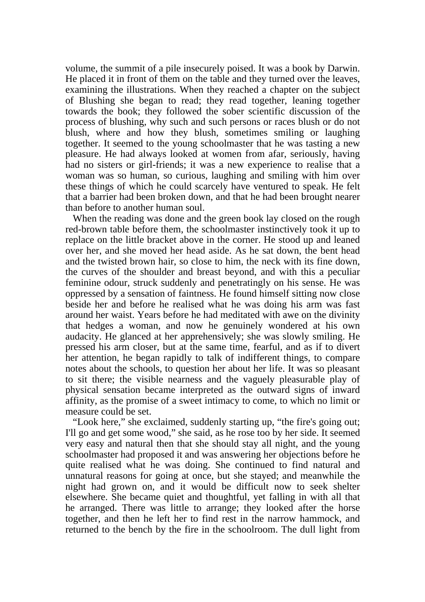volume, the summit of a pile insecurely poised. It was a book by Darwin. He placed it in front of them on the table and they turned over the leaves, examining the illustrations. When they reached a chapter on the subject of Blushing she began to read; they read together, leaning together towards the book; they followed the sober scientific discussion of the process of blushing, why such and such persons or races blush or do not blush, where and how they blush, sometimes smiling or laughing together. It seemed to the young schoolmaster that he was tasting a new pleasure. He had always looked at women from afar, seriously, having had no sisters or girl-friends; it was a new experience to realise that a woman was so human, so curious, laughing and smiling with him over these things of which he could scarcely have ventured to speak. He felt that a barrier had been broken down, and that he had been brought nearer than before to another human soul.

When the reading was done and the green book lay closed on the rough red-brown table before them, the schoolmaster instinctively took it up to replace on the little bracket above in the corner. He stood up and leaned over her, and she moved her head aside. As he sat down, the bent head and the twisted brown hair, so close to him, the neck with its fine down, the curves of the shoulder and breast beyond, and with this a peculiar feminine odour, struck suddenly and penetratingly on his sense. He was oppressed by a sensation of faintness. He found himself sitting now close beside her and before he realised what he was doing his arm was fast around her waist. Years before he had meditated with awe on the divinity that hedges a woman, and now he genuinely wondered at his own audacity. He glanced at her apprehensively; she was slowly smiling. He pressed his arm closer, but at the same time, fearful, and as if to divert her attention, he began rapidly to talk of indifferent things, to compare notes about the schools, to question her about her life. It was so pleasant to sit there; the visible nearness and the vaguely pleasurable play of physical sensation became interpreted as the outward signs of inward affinity, as the promise of a sweet intimacy to come, to which no limit or measure could be set.

 "Look here," she exclaimed, suddenly starting up, "the fire's going out; I'll go and get some wood," she said, as he rose too by her side. It seemed very easy and natural then that she should stay all night, and the young schoolmaster had proposed it and was answering her objections before he quite realised what he was doing. She continued to find natural and unnatural reasons for going at once, but she stayed; and meanwhile the night had grown on, and it would be difficult now to seek shelter elsewhere. She became quiet and thoughtful, yet falling in with all that he arranged. There was little to arrange; they looked after the horse together, and then he left her to find rest in the narrow hammock, and returned to the bench by the fire in the schoolroom. The dull light from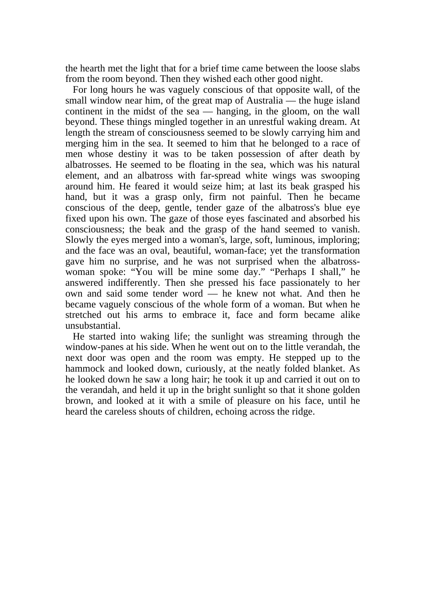the hearth met the light that for a brief time came between the loose slabs from the room beyond. Then they wished each other good night.

 For long hours he was vaguely conscious of that opposite wall, of the small window near him, of the great map of Australia — the huge island continent in the midst of the sea — hanging, in the gloom, on the wall beyond. These things mingled together in an unrestful waking dream. At length the stream of consciousness seemed to be slowly carrying him and merging him in the sea. It seemed to him that he belonged to a race of men whose destiny it was to be taken possession of after death by albatrosses. He seemed to be floating in the sea, which was his natural element, and an albatross with far-spread white wings was swooping around him. He feared it would seize him; at last its beak grasped his hand, but it was a grasp only, firm not painful. Then he became conscious of the deep, gentle, tender gaze of the albatross's blue eye fixed upon his own. The gaze of those eyes fascinated and absorbed his consciousness; the beak and the grasp of the hand seemed to vanish. Slowly the eyes merged into a woman's, large, soft, luminous, imploring; and the face was an oval, beautiful, woman-face; yet the transformation gave him no surprise, and he was not surprised when the albatrosswoman spoke: "You will be mine some day." "Perhaps I shall," he answered indifferently. Then she pressed his face passionately to her own and said some tender word — he knew not what. And then he became vaguely conscious of the whole form of a woman. But when he stretched out his arms to embrace it, face and form became alike unsubstantial.

 He started into waking life; the sunlight was streaming through the window-panes at his side. When he went out on to the little verandah, the next door was open and the room was empty. He stepped up to the hammock and looked down, curiously, at the neatly folded blanket. As he looked down he saw a long hair; he took it up and carried it out on to the verandah, and held it up in the bright sunlight so that it shone golden brown, and looked at it with a smile of pleasure on his face, until he heard the careless shouts of children, echoing across the ridge.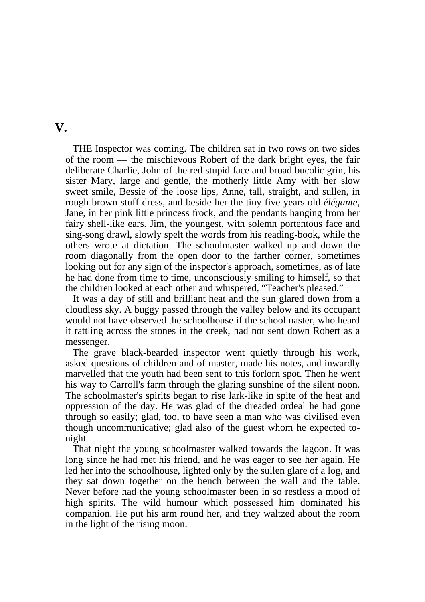#### **V.**

 THE Inspector was coming. The children sat in two rows on two sides of the room — the mischievous Robert of the dark bright eyes, the fair deliberate Charlie, John of the red stupid face and broad bucolic grin, his sister Mary, large and gentle, the motherly little Amy with her slow sweet smile, Bessie of the loose lips, Anne, tall, straight, and sullen, in rough brown stuff dress, and beside her the tiny five years old *élégante*, Jane, in her pink little princess frock, and the pendants hanging from her fairy shell-like ears. Jim, the youngest, with solemn portentous face and sing-song drawl, slowly spelt the words from his reading-book, while the others wrote at dictation. The schoolmaster walked up and down the room diagonally from the open door to the farther corner, sometimes looking out for any sign of the inspector's approach, sometimes, as of late he had done from time to time, unconsciously smiling to himself, so that the children looked at each other and whispered, "Teacher's pleased."

 It was a day of still and brilliant heat and the sun glared down from a cloudless sky. A buggy passed through the valley below and its occupant would not have observed the schoolhouse if the schoolmaster, who heard it rattling across the stones in the creek, had not sent down Robert as a messenger.

 The grave black-bearded inspector went quietly through his work, asked questions of children and of master, made his notes, and inwardly marvelled that the youth had been sent to this forlorn spot. Then he went his way to Carroll's farm through the glaring sunshine of the silent noon. The schoolmaster's spirits began to rise lark-like in spite of the heat and oppression of the day. He was glad of the dreaded ordeal he had gone through so easily; glad, too, to have seen a man who was civilised even though uncommunicative; glad also of the guest whom he expected tonight.

 That night the young schoolmaster walked towards the lagoon. It was long since he had met his friend, and he was eager to see her again. He led her into the schoolhouse, lighted only by the sullen glare of a log, and they sat down together on the bench between the wall and the table. Never before had the young schoolmaster been in so restless a mood of high spirits. The wild humour which possessed him dominated his companion. He put his arm round her, and they waltzed about the room in the light of the rising moon.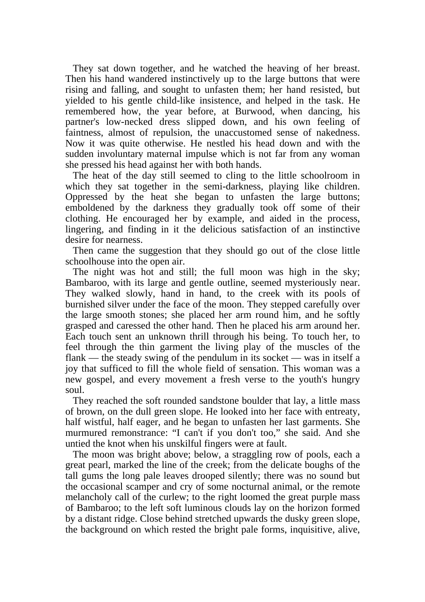They sat down together, and he watched the heaving of her breast. Then his hand wandered instinctively up to the large buttons that were rising and falling, and sought to unfasten them; her hand resisted, but yielded to his gentle child-like insistence, and helped in the task. He remembered how, the year before, at Burwood, when dancing, his partner's low-necked dress slipped down, and his own feeling of faintness, almost of repulsion, the unaccustomed sense of nakedness. Now it was quite otherwise. He nestled his head down and with the sudden involuntary maternal impulse which is not far from any woman she pressed his head against her with both hands.

 The heat of the day still seemed to cling to the little schoolroom in which they sat together in the semi-darkness, playing like children. Oppressed by the heat she began to unfasten the large buttons; emboldened by the darkness they gradually took off some of their clothing. He encouraged her by example, and aided in the process, lingering, and finding in it the delicious satisfaction of an instinctive desire for nearness.

 Then came the suggestion that they should go out of the close little schoolhouse into the open air.

 The night was hot and still; the full moon was high in the sky; Bambaroo, with its large and gentle outline, seemed mysteriously near. They walked slowly, hand in hand, to the creek with its pools of burnished silver under the face of the moon. They stepped carefully over the large smooth stones; she placed her arm round him, and he softly grasped and caressed the other hand. Then he placed his arm around her. Each touch sent an unknown thrill through his being. To touch her, to feel through the thin garment the living play of the muscles of the flank — the steady swing of the pendulum in its socket — was in itself a joy that sufficed to fill the whole field of sensation. This woman was a new gospel, and every movement a fresh verse to the youth's hungry soul.

 They reached the soft rounded sandstone boulder that lay, a little mass of brown, on the dull green slope. He looked into her face with entreaty, half wistful, half eager, and he began to unfasten her last garments. She murmured remonstrance: "I can't if you don't too," she said. And she untied the knot when his unskilful fingers were at fault.

 The moon was bright above; below, a straggling row of pools, each a great pearl, marked the line of the creek; from the delicate boughs of the tall gums the long pale leaves drooped silently; there was no sound but the occasional scamper and cry of some nocturnal animal, or the remote melancholy call of the curlew; to the right loomed the great purple mass of Bambaroo; to the left soft luminous clouds lay on the horizon formed by a distant ridge. Close behind stretched upwards the dusky green slope, the background on which rested the bright pale forms, inquisitive, alive,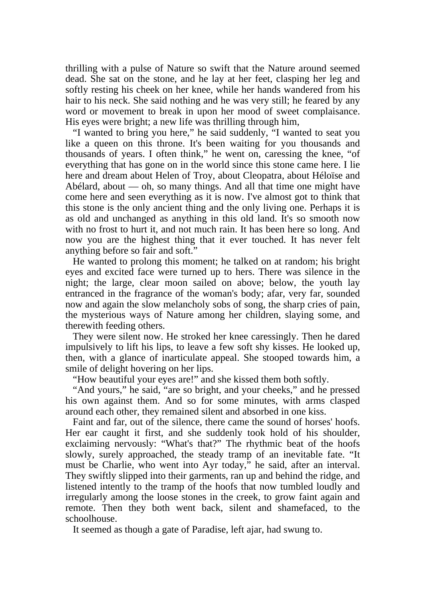thrilling with a pulse of Nature so swift that the Nature around seemed dead. She sat on the stone, and he lay at her feet, clasping her leg and softly resting his cheek on her knee, while her hands wandered from his hair to his neck. She said nothing and he was very still; he feared by any word or movement to break in upon her mood of sweet complaisance. His eyes were bright; a new life was thrilling through him,

 "I wanted to bring you here," he said suddenly, "I wanted to seat you like a queen on this throne. It's been waiting for you thousands and thousands of years. I often think," he went on, caressing the knee, "of everything that has gone on in the world since this stone came here. I lie here and dream about Helen of Troy, about Cleopatra, about Héloïse and Abélard, about — oh, so many things. And all that time one might have come here and seen everything as it is now. I've almost got to think that this stone is the only ancient thing and the only living one. Perhaps it is as old and unchanged as anything in this old land. It's so smooth now with no frost to hurt it, and not much rain. It has been here so long. And now you are the highest thing that it ever touched. It has never felt anything before so fair and soft."

 He wanted to prolong this moment; he talked on at random; his bright eyes and excited face were turned up to hers. There was silence in the night; the large, clear moon sailed on above; below, the youth lay entranced in the fragrance of the woman's body; afar, very far, sounded now and again the slow melancholy sobs of song, the sharp cries of pain, the mysterious ways of Nature among her children, slaying some, and therewith feeding others.

 They were silent now. He stroked her knee caressingly. Then he dared impulsively to lift his lips, to leave a few soft shy kisses. He looked up, then, with a glance of inarticulate appeal. She stooped towards him, a smile of delight hovering on her lips.

"How beautiful your eyes are!" and she kissed them both softly.

 "And yours," he said, "are so bright, and your cheeks," and he pressed his own against them. And so for some minutes, with arms clasped around each other, they remained silent and absorbed in one kiss.

 Faint and far, out of the silence, there came the sound of horses' hoofs. Her ear caught it first, and she suddenly took hold of his shoulder, exclaiming nervously: "What's that?" The rhythmic beat of the hoofs slowly, surely approached, the steady tramp of an inevitable fate. "It must be Charlie, who went into Ayr today," he said, after an interval. They swiftly slipped into their garments, ran up and behind the ridge, and listened intently to the tramp of the hoofs that now tumbled loudly and irregularly among the loose stones in the creek, to grow faint again and remote. Then they both went back, silent and shamefaced, to the schoolhouse.

It seemed as though a gate of Paradise, left ajar, had swung to.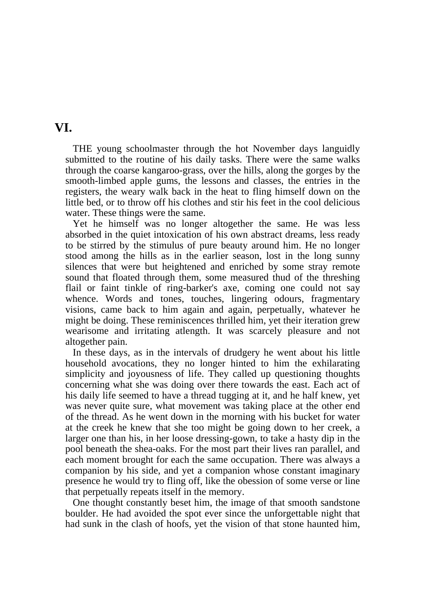#### **VI.**

 THE young schoolmaster through the hot November days languidly submitted to the routine of his daily tasks. There were the same walks through the coarse kangaroo-grass, over the hills, along the gorges by the smooth-limbed apple gums, the lessons and classes, the entries in the registers, the weary walk back in the heat to fling himself down on the little bed, or to throw off his clothes and stir his feet in the cool delicious water. These things were the same.

 Yet he himself was no longer altogether the same. He was less absorbed in the quiet intoxication of his own abstract dreams, less ready to be stirred by the stimulus of pure beauty around him. He no longer stood among the hills as in the earlier season, lost in the long sunny silences that were but heightened and enriched by some stray remote sound that floated through them, some measured thud of the threshing flail or faint tinkle of ring-barker's axe, coming one could not say whence. Words and tones, touches, lingering odours, fragmentary visions, came back to him again and again, perpetually, whatever he might be doing. These reminiscences thrilled him, yet their iteration grew wearisome and irritating atlength. It was scarcely pleasure and not altogether pain.

 In these days, as in the intervals of drudgery he went about his little household avocations, they no longer hinted to him the exhilarating simplicity and joyousness of life. They called up questioning thoughts concerning what she was doing over there towards the east. Each act of his daily life seemed to have a thread tugging at it, and he half knew, yet was never quite sure, what movement was taking place at the other end of the thread. As he went down in the morning with his bucket for water at the creek he knew that she too might be going down to her creek, a larger one than his, in her loose dressing-gown, to take a hasty dip in the pool beneath the shea-oaks. For the most part their lives ran parallel, and each moment brought for each the same occupation. There was always a companion by his side, and yet a companion whose constant imaginary presence he would try to fling off, like the obession of some verse or line that perpetually repeats itself in the memory.

 One thought constantly beset him, the image of that smooth sandstone boulder. He had avoided the spot ever since the unforgettable night that had sunk in the clash of hoofs, yet the vision of that stone haunted him,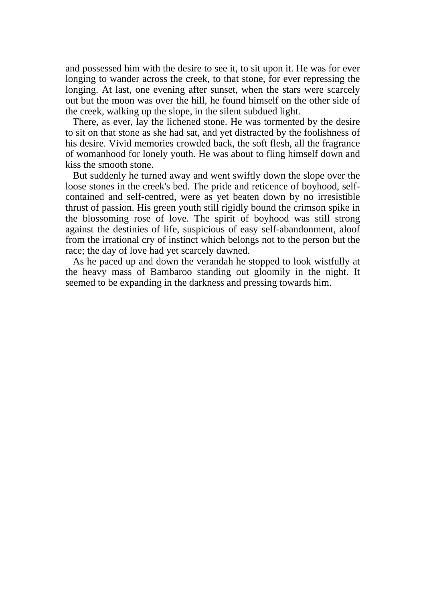and possessed him with the desire to see it, to sit upon it. He was for ever longing to wander across the creek, to that stone, for ever repressing the longing. At last, one evening after sunset, when the stars were scarcely out but the moon was over the hill, he found himself on the other side of the creek, walking up the slope, in the silent subdued light.

 There, as ever, lay the lichened stone. He was tormented by the desire to sit on that stone as she had sat, and yet distracted by the foolishness of his desire. Vivid memories crowded back, the soft flesh, all the fragrance of womanhood for lonely youth. He was about to fling himself down and kiss the smooth stone.

 But suddenly he turned away and went swiftly down the slope over the loose stones in the creek's bed. The pride and reticence of boyhood, selfcontained and self-centred, were as yet beaten down by no irresistible thrust of passion. His green youth still rigidly bound the crimson spike in the blossoming rose of love. The spirit of boyhood was still strong against the destinies of life, suspicious of easy self-abandonment, aloof from the irrational cry of instinct which belongs not to the person but the race; the day of love had yet scarcely dawned.

 As he paced up and down the verandah he stopped to look wistfully at the heavy mass of Bambaroo standing out gloomily in the night. It seemed to be expanding in the darkness and pressing towards him.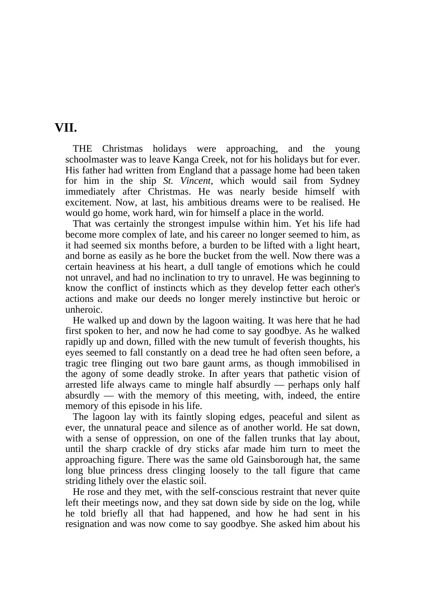#### **VII.**

 THE Christmas holidays were approaching, and the young schoolmaster was to leave Kanga Creek, not for his holidays but for ever. His father had written from England that a passage home had been taken for him in the ship *St. Vincent,* which would sail from Sydney immediately after Christmas. He was nearly beside himself with excitement. Now, at last, his ambitious dreams were to be realised. He would go home, work hard, win for himself a place in the world.

 That was certainly the strongest impulse within him. Yet his life had become more complex of late, and his career no longer seemed to him, as it had seemed six months before, a burden to be lifted with a light heart, and borne as easily as he bore the bucket from the well. Now there was a certain heaviness at his heart, a dull tangle of emotions which he could not unravel, and had no inclination to try to unravel. He was beginning to know the conflict of instincts which as they develop fetter each other's actions and make our deeds no longer merely instinctive but heroic or unheroic.

 He walked up and down by the lagoon waiting. It was here that he had first spoken to her, and now he had come to say goodbye. As he walked rapidly up and down, filled with the new tumult of feverish thoughts, his eyes seemed to fall constantly on a dead tree he had often seen before, a tragic tree flinging out two bare gaunt arms, as though immobilised in the agony of some deadly stroke. In after years that pathetic vision of arrested life always came to mingle half absurdly — perhaps only half absurdly — with the memory of this meeting, with, indeed, the entire memory of this episode in his life.

 The lagoon lay with its faintly sloping edges, peaceful and silent as ever, the unnatural peace and silence as of another world. He sat down, with a sense of oppression, on one of the fallen trunks that lay about, until the sharp crackle of dry sticks afar made him turn to meet the approaching figure. There was the same old Gainsborough hat, the same long blue princess dress clinging loosely to the tall figure that came striding lithely over the elastic soil.

 He rose and they met, with the self-conscious restraint that never quite left their meetings now, and they sat down side by side on the log, while he told briefly all that had happened, and how he had sent in his resignation and was now come to say goodbye. She asked him about his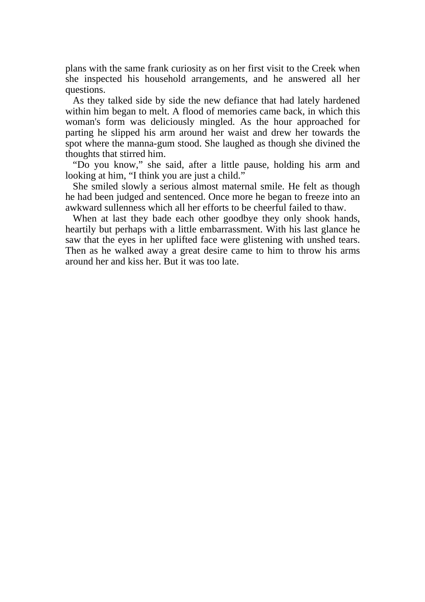plans with the same frank curiosity as on her first visit to the Creek when she inspected his household arrangements, and he answered all her questions.

 As they talked side by side the new defiance that had lately hardened within him began to melt. A flood of memories came back, in which this woman's form was deliciously mingled. As the hour approached for parting he slipped his arm around her waist and drew her towards the spot where the manna-gum stood. She laughed as though she divined the thoughts that stirred him.

 "Do you know," she said, after a little pause, holding his arm and looking at him, "I think you are just a child."

 She smiled slowly a serious almost maternal smile. He felt as though he had been judged and sentenced. Once more he began to freeze into an awkward sullenness which all her efforts to be cheerful failed to thaw.

When at last they bade each other goodbye they only shook hands, heartily but perhaps with a little embarrassment. With his last glance he saw that the eyes in her uplifted face were glistening with unshed tears. Then as he walked away a great desire came to him to throw his arms around her and kiss her. But it was too late.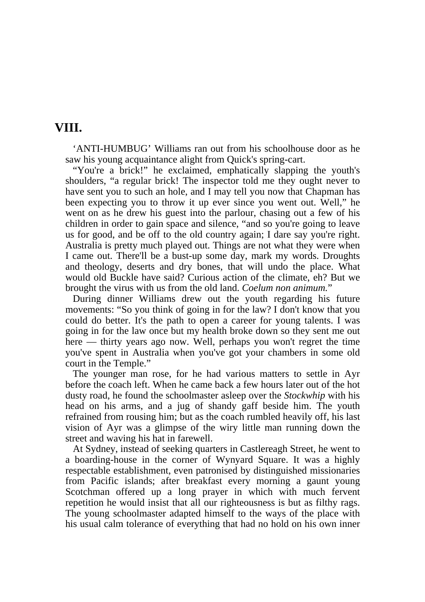## **VIII.**

 'ANTI-HUMBUG' Williams ran out from his schoolhouse door as he saw his young acquaintance alight from Quick's spring-cart.

 "You're a brick!" he exclaimed, emphatically slapping the youth's shoulders, "a regular brick! The inspector told me they ought never to have sent you to such an hole, and I may tell you now that Chapman has been expecting you to throw it up ever since you went out. Well," he went on as he drew his guest into the parlour, chasing out a few of his children in order to gain space and silence, "and so you're going to leave us for good, and be off to the old country again; I dare say you're right. Australia is pretty much played out. Things are not what they were when I came out. There'll be a bust-up some day, mark my words. Droughts and theology, deserts and dry bones, that will undo the place. What would old Buckle have said? Curious action of the climate, eh? But we brought the virus with us from the old land. *Coelum non animum.*"

 During dinner Williams drew out the youth regarding his future movements: "So you think of going in for the law? I don't know that you could do better. It's the path to open a career for young talents. I was going in for the law once but my health broke down so they sent me out here — thirty years ago now. Well, perhaps you won't regret the time you've spent in Australia when you've got your chambers in some old court in the Temple."

 The younger man rose, for he had various matters to settle in Ayr before the coach left. When he came back a few hours later out of the hot dusty road, he found the schoolmaster asleep over the *Stockwhip* with his head on his arms, and a jug of shandy gaff beside him. The youth refrained from rousing him; but as the coach rumbled heavily off, his last vision of Ayr was a glimpse of the wiry little man running down the street and waving his hat in farewell.

 At Sydney, instead of seeking quarters in Castlereagh Street, he went to a boarding-house in the corner of Wynyard Square. It was a highly respectable establishment, even patronised by distinguished missionaries from Pacific islands; after breakfast every morning a gaunt young Scotchman offered up a long prayer in which with much fervent repetition he would insist that all our righteousness is but as filthy rags. The young schoolmaster adapted himself to the ways of the place with his usual calm tolerance of everything that had no hold on his own inner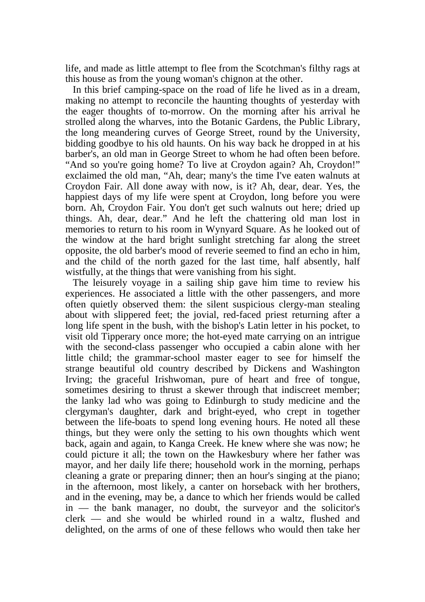life, and made as little attempt to flee from the Scotchman's filthy rags at this house as from the young woman's chignon at the other.

 In this brief camping-space on the road of life he lived as in a dream, making no attempt to reconcile the haunting thoughts of yesterday with the eager thoughts of to-morrow. On the morning after his arrival he strolled along the wharves, into the Botanic Gardens, the Public Library, the long meandering curves of George Street, round by the University, bidding goodbye to his old haunts. On his way back he dropped in at his barber's, an old man in George Street to whom he had often been before. "And so you're going home? To live at Croydon again? Ah, Croydon!" exclaimed the old man, "Ah, dear; many's the time I've eaten walnuts at Croydon Fair. All done away with now, is it? Ah, dear, dear. Yes, the happiest days of my life were spent at Croydon, long before you were born. Ah, Croydon Fair. You don't get such walnuts out here; dried up things. Ah, dear, dear." And he left the chattering old man lost in memories to return to his room in Wynyard Square. As he looked out of the window at the hard bright sunlight stretching far along the street opposite, the old barber's mood of reverie seemed to find an echo in him, and the child of the north gazed for the last time, half absently, half wistfully, at the things that were vanishing from his sight.

 The leisurely voyage in a sailing ship gave him time to review his experiences. He associated a little with the other passengers, and more often quietly observed them: the silent suspicious clergy-man stealing about with slippered feet; the jovial, red-faced priest returning after a long life spent in the bush, with the bishop's Latin letter in his pocket, to visit old Tipperary once more; the hot-eyed mate carrying on an intrigue with the second-class passenger who occupied a cabin alone with her little child; the grammar-school master eager to see for himself the strange beautiful old country described by Dickens and Washington Irving; the graceful Irishwoman, pure of heart and free of tongue, sometimes desiring to thrust a skewer through that indiscreet member; the lanky lad who was going to Edinburgh to study medicine and the clergyman's daughter, dark and bright-eyed, who crept in together between the life-boats to spend long evening hours. He noted all these things, but they were only the setting to his own thoughts which went back, again and again, to Kanga Creek. He knew where she was now; he could picture it all; the town on the Hawkesbury where her father was mayor, and her daily life there; household work in the morning, perhaps cleaning a grate or preparing dinner; then an hour's singing at the piano; in the afternoon, most likely, a canter on horseback with her brothers, and in the evening, may be, a dance to which her friends would be called in — the bank manager, no doubt, the surveyor and the solicitor's clerk — and she would be whirled round in a waltz, flushed and delighted, on the arms of one of these fellows who would then take her